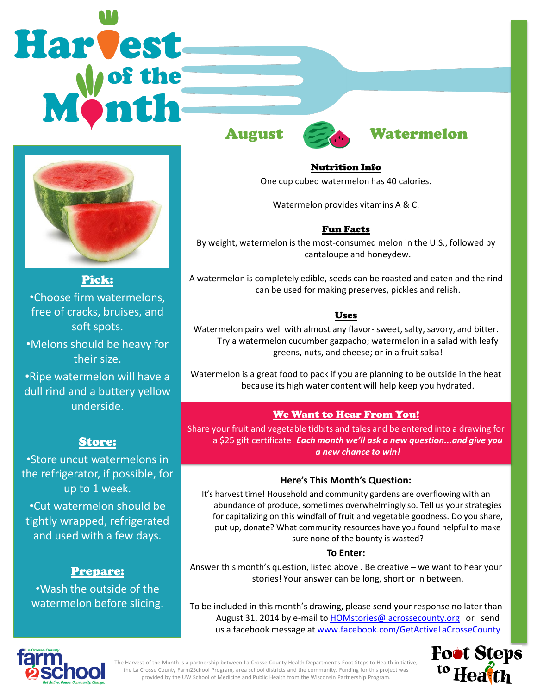# Harvest



Pick: •Choose firm watermelons, free of cracks, bruises, and soft spots.

•Melons should be heavy for their size.

•Ripe watermelon will have a dull rind and a buttery yellow underside.

# Store:

•Store uncut watermelons in the refrigerator, if possible, for up to 1 week. •Cut watermelon should be tightly wrapped, refrigerated and used with a few days.

# Prepare:

•Wash the outside of the watermelon before slicing.



# August Watermelon

### Nutrition Info

One cup cubed watermelon has 40 calories.

Watermelon provides vitamins A & C.

# Fun Facts

By weight, watermelon is the most-consumed melon in the U.S., followed by cantaloupe and honeydew.

A watermelon is completely edible, seeds can be roasted and eaten and the rind can be used for making preserves, pickles and relish.

# Uses

Watermelon pairs well with almost any flavor- sweet, salty, savory, and bitter. Try a watermelon cucumber gazpacho; watermelon in a salad with leafy greens, nuts, and cheese; or in a fruit salsa!

Watermelon is a great food to pack if you are planning to be outside in the heat because its high water content will help keep you hydrated.

# We Want to Hear From You!

Share your fruit and vegetable tidbits and tales and be entered into a drawing for a \$25 gift certificate! *Each month we'll ask a new question...and give you a new chance to win!* 

## **Here's This Month's Question:**

It's harvest time! Household and community gardens are overflowing with an abundance of produce, sometimes overwhelmingly so. Tell us your strategies for capitalizing on this windfall of fruit and vegetable goodness. Do you share, put up, donate? What community resources have you found helpful to make sure none of the bounty is wasted?

### **To Enter:**

Answer this month's question, listed above . Be creative – we want to hear your stories! Your answer can be long, short or in between.

To be included in this month's drawing, please send your response no later than August 31, 2014 by e-mail to **[HOMstories@lacrossecounty.org](mailto:HOMstories@lacrossecounty.org)** or send us a facebook message at [www.facebook.com/GetActiveLaCrosseCounty](http://www.facebook.com/GetActiveLaCrosseCounty)





The Harvest of the Month is a partnership between La Crosse County Health Department's Foot Steps to Health initiative, the La Crosse County Farm2School Program, area school districts and the community. Funding for this project was provided by the UW School of Medicine and Public Health from the Wisconsin Partnership Program.